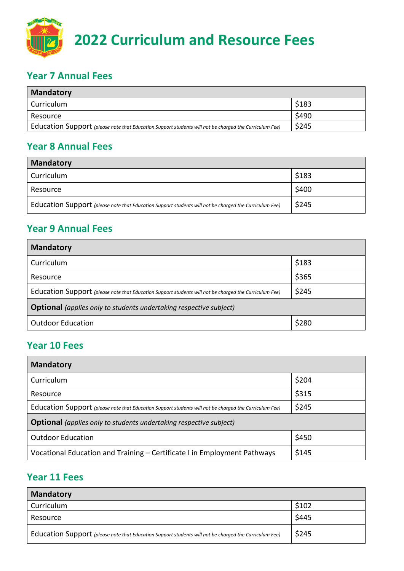

## **Year 7 Annual Fees**

| <b>Mandatory</b>                                                                                       |       |
|--------------------------------------------------------------------------------------------------------|-------|
| Curriculum                                                                                             | \$183 |
| Resource                                                                                               | \$490 |
| Education Support (please note that Education Support students will not be charged the Curriculum Fee) | \$245 |

# **Year 8 Annual Fees**

| <b>Mandatory</b>                                                                                       |       |
|--------------------------------------------------------------------------------------------------------|-------|
| Curriculum                                                                                             | \$183 |
| Resource                                                                                               | \$400 |
| Education Support (please note that Education Support students will not be charged the Curriculum Fee) | \$245 |

# **Year 9 Annual Fees**

| <b>Mandatory</b>                                                                                       |       |
|--------------------------------------------------------------------------------------------------------|-------|
| Curriculum                                                                                             | \$183 |
| Resource                                                                                               | \$365 |
| Education Support (please note that Education Support students will not be charged the Curriculum Fee) | \$245 |
| <b>Optional</b> (applies only to students undertaking respective subject)                              |       |
| <b>Outdoor Education</b>                                                                               | \$280 |

# **Year 10 Fees**

| <b>Mandatory</b>                                                                                       |       |  |
|--------------------------------------------------------------------------------------------------------|-------|--|
| Curriculum                                                                                             | \$204 |  |
| Resource                                                                                               | \$315 |  |
| Education Support (please note that Education Support students will not be charged the Curriculum Fee) | \$245 |  |
| <b>Optional</b> (applies only to students undertaking respective subject)                              |       |  |
| <b>Outdoor Education</b>                                                                               | \$450 |  |
| Vocational Education and Training - Certificate I in Employment Pathways                               | \$145 |  |

#### **Year 11 Fees**

| <b>Mandatory</b>                                                                                       |       |
|--------------------------------------------------------------------------------------------------------|-------|
| Curriculum                                                                                             | \$102 |
| Resource                                                                                               | \$445 |
| Education Support (please note that Education Support students will not be charged the Curriculum Fee) | \$245 |